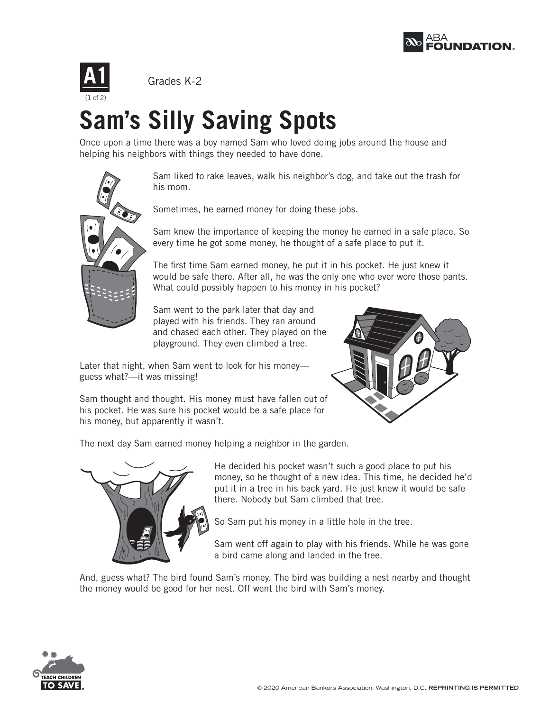



## **Sam's Silly Saving Spots**

Once upon a time there was a boy named Sam who loved doing jobs around the house and helping his neighbors with things they needed to have done.



(1 of 2)

Sam liked to rake leaves, walk his neighbor's dog, and take out the trash for his mom.

Sometimes, he earned money for doing these jobs.

Sam knew the importance of keeping the money he earned in a safe place. So every time he got some money, he thought of a safe place to put it.

The first time Sam earned money, he put it in his pocket. He just knew it would be safe there. After all, he was the only one who ever wore those pants. What could possibly happen to his money in his pocket?

Sam went to the park later that day and played with his friends. They ran around and chased each other. They played on the playground. They even climbed a tree.

Later that night, when Sam went to look for his money guess what?—it was missing!



Sam thought and thought. His money must have fallen out of his pocket. He was sure his pocket would be a safe place for his money, but apparently it wasn't.

The next day Sam earned money helping a neighbor in the garden.



He decided his pocket wasn't such a good place to put his money, so he thought of a new idea. This time, he decided he'd put it in a tree in his back yard. He just knew it would be safe there. Nobody but Sam climbed that tree.

So Sam put his money in a little hole in the tree.

Sam went off again to play with his friends. While he was gone a bird came along and landed in the tree.

And, guess what? The bird found Sam's money. The bird was building a nest nearby and thought the money would be good for her nest. Off went the bird with Sam's money.